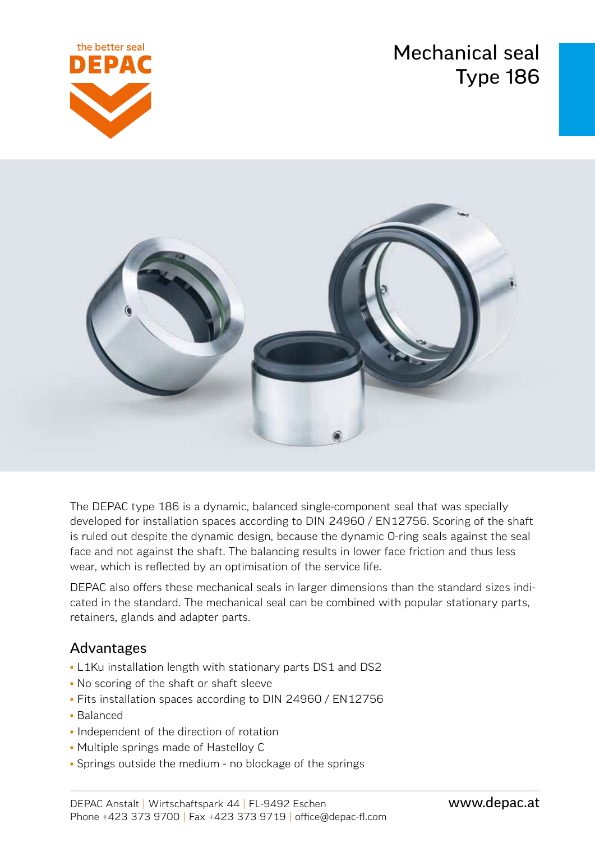Mechanical seal Type 186





The DEPAC type 186 is a dynamic, balanced single-component seal that was specially developed for installation spaces according to DIN 24960 / EN12756. Scoring of the shaft is ruled out despite the dynamic design, because the dynamic O-ring seals against the seal face and not against the shaft. The balancing results in lower face friction and thus less wear, which is reflected by an optimisation of the service life.

DEPAC also offers these mechanical seals in larger dimensions than the standard sizes indicated in the standard. The mechanical seal can be combined with popular stationary parts, retainers, glands and adapter parts.

### Advantages

- L1Ku installation length with stationary parts DS1 and DS2
- No scoring of the shaft or shaft sleeve
- Fits installation spaces according to DIN 24960 / EN12756
- Balanced
- Independent of the direction of rotation
- Multiple springs made of Hastelloy C
- Springs outside the medium no blockage of the springs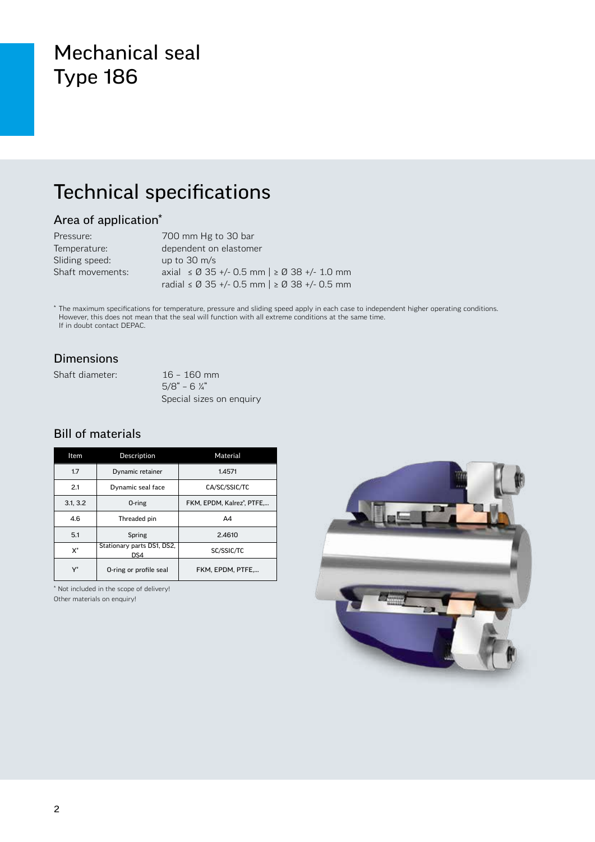### Mechanical seal Type 186

### Technical specifications

#### Area of application\*

| Pressure:        | 700 mm Hg to 30 bar                          |
|------------------|----------------------------------------------|
| Temperature:     | dependent on elastomer                       |
| Sliding speed:   | up to $30 \text{ m/s}$                       |
| Shaft movements: | axial ≤ Ø 35 +/- 0.5 mm   ≥ Ø 38 +/- 1.0 mm  |
|                  | radial ≤ Ø 35 +/- 0.5 mm   ≥ Ø 38 +/- 0.5 mm |

\* The maximum specifications for temperature, pressure and sliding speed apply in each case to independent higher operating conditions. However, this does not mean that the seal will function with all extreme conditions at the same time. If in doubt contact DEPAC.

#### Dimensions

Shaft diameter: 16 – 160 mm

 $5/8$ " – 6  $\frac{1}{4}$ " Special sizes on enquiry

#### Bill of materials

| Item     | Description                       | Material                 |  |  |
|----------|-----------------------------------|--------------------------|--|--|
| 1.7      | Dynamic retainer                  | 1.4571                   |  |  |
| 2.1      | Dynamic seal face                 | CA/SC/SSIC/TC            |  |  |
| 3.1, 3.2 | 0-ring                            | FKM. EPDM. Kalrez®. PTFE |  |  |
| 4.6      | Threaded pin                      | A4                       |  |  |
| 5.1      | Spring                            | 2.4610                   |  |  |
| $X^*$    | Stationary parts DS1, DS2,<br>DS4 | SC/SSIC/TC               |  |  |
| Y*       | O-ring or profile seal            | FKM. EPDM. PTFE          |  |  |

\* Not included in the scope of delivery! Other materials on enquiry!

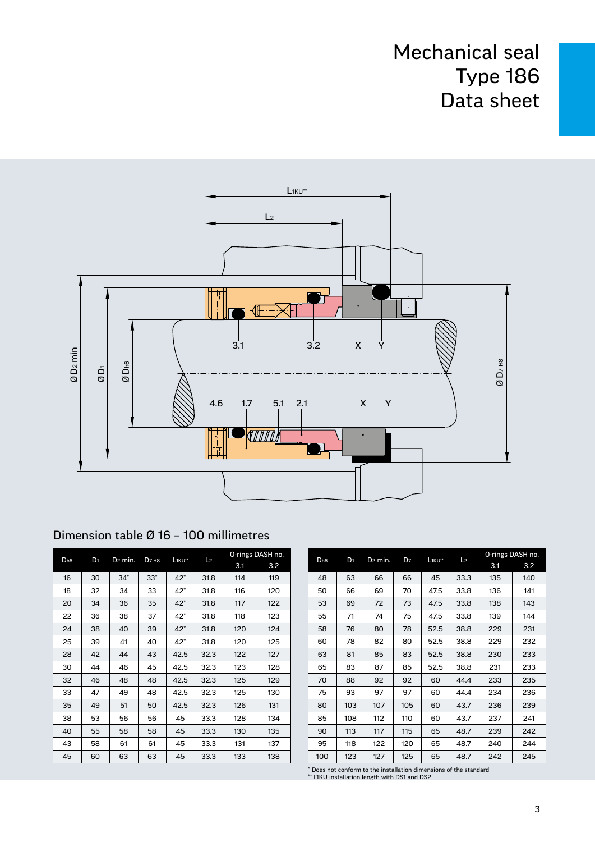

#### Dimension table Ø 16 – 100 millimetres

|                 |       | D <sub>2</sub> min. |                               |                                |                | O-rings DASH no. |     |  |
|-----------------|-------|---------------------|-------------------------------|--------------------------------|----------------|------------------|-----|--|
| D <sub>h6</sub> | $D_1$ |                     | D <sub>7</sub> H <sub>8</sub> | L <sub>1KU</sub> <sup>**</sup> | L <sub>2</sub> | 3.1              | 3.2 |  |
| 16              | 30    | $34*$               | $33*$                         | $42^*$                         | 31.8           | 114              | 119 |  |
| 18              | 32    | 34                  | 33                            | $42^*$                         | 31.8           | 116              | 120 |  |
| 20              | 34    | 36                  | 35                            | $42*$                          | 31.8           | 117              | 122 |  |
| 22              | 36    | 38                  | 37                            | 42*                            | 31.8           | 118              | 123 |  |
| 24              | 38    | 40                  | 39                            | $42*$                          | 31.8           | 120              | 124 |  |
| 25              | 39    | 41                  | 40                            | 42*                            | 31.8           | 120              | 125 |  |
| 28              | 42    | 44                  | 43                            | 42.5                           | 32.3           | 122              | 127 |  |
| 30              | 44    | 46                  | 45                            | 42.5                           | 32.3           | 123              | 128 |  |
| 32              | 46    | 48                  | 48                            | 42.5                           | 32.3           | 125              | 129 |  |
| 33              | 47    | 49                  | 48                            | 42.5                           | 32.3           | 125              | 130 |  |
| 35              | 49    | 51                  | 50                            | 42.5                           | 32.3           | 126              | 131 |  |
| 38              | 53    | 56                  | 56                            | 45                             | 33.3           | 128              | 134 |  |
| 40              | 55    | 58                  | 58                            | 45                             | 33.3           | 130              | 135 |  |
| 43              | 58    | 61                  | 61                            | 45                             | 33.3           | 131              | 137 |  |
| 45              | 60    | 63                  | 63                            | 45                             | 33.3           | 133              | 138 |  |

|                 | D <sub>1</sub> | D <sub>2</sub> min. | D <sub>7</sub> | L <sub>1KU**</sub> | L <sub>2</sub> | O-rings DASH no. |     |
|-----------------|----------------|---------------------|----------------|--------------------|----------------|------------------|-----|
| D <sub>h6</sub> |                |                     |                |                    |                |                  | 3.2 |
| 48              | 63             | 66                  | 66             | 45                 | 33.3           | 135              | 140 |
| 50              | 66             | 69                  | 70             | 47.5               | 33.8           | 136              | 141 |
| 53              | 69             | 72                  | 73             | 47.5               | 33.8           | 138              | 143 |
| 55              | 71             | 74                  | 75             | 47.5               | 33.8           | 139              | 144 |
| 58              | 76             | 80                  | 78             | 52.5               | 38.8           | 229              | 231 |
| 60              | 78             | 82                  | 80             | 52.5               | 38.8           | 229              | 232 |
| 63              | 81             | 85                  | 83             | 52.5               | 38.8           | 230              | 233 |
| 65              | 83             | 87                  | 85             | 52.5               | 38.8           | 231              | 233 |
| 70              | 88             | 92                  | 92             | 60                 | 44.4           | 233              | 235 |
| 75              | 93             | 97                  | 97             | 60                 | 44.4           | 234              | 236 |
| 80              | 103            | 107                 | 105            | 60                 | 43.7           | 236              | 239 |
| 85              | 108            | 112                 | 110            | 60                 | 43.7           | 237              | 241 |
| 90              | 113            | 117                 | 115            | 65                 | 48.7           | 239              | 242 |
| 95              | 118            | 122                 | 120            | 65                 | 48.7           | 240              | 244 |
| 100             | 123            | 127                 | 125            | 65                 | 48.7           | 242              | 245 |

\* Does not conform to the installation dimensions of the standard \*\* L1KU installation length with DS1 and DS2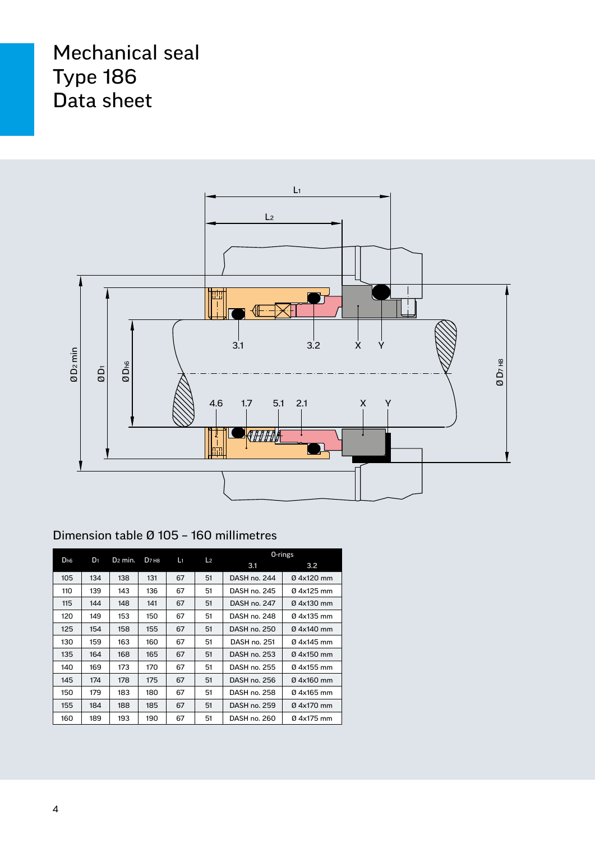

#### Dimension table Ø 105 – 160 millimetres

|                 |       |                     |                               |                      |    | 0-rings      |            |  |
|-----------------|-------|---------------------|-------------------------------|----------------------|----|--------------|------------|--|
| D <sub>h6</sub> | $D_1$ | D <sub>2</sub> min. | D <sub>7</sub> H <sub>8</sub> | Lı<br>L <sub>2</sub> |    | 3.1          | 3.2        |  |
| 105             | 134   | 138                 | 131                           | 67                   | 51 | DASH no. 244 | 04x120 mm  |  |
| 110             | 139   | 143                 | 136                           | 67                   | 51 | DASH no. 245 | 04x125 mm  |  |
| 115             | 144   | 148                 | 141                           | 67                   | 51 | DASH no. 247 | 0 4x130 mm |  |
| 120             | 149   | 153                 | 150                           | 67                   | 51 | DASH no. 248 | 04x135 mm  |  |
| 125             | 154   | 158                 | 155                           | 67                   | 51 | DASH no. 250 | 04x140 mm  |  |
| 130             | 159   | 163                 | 160                           | 67                   | 51 | DASH no. 251 | 04x145 mm  |  |
| 135             | 164   | 168                 | 165                           | 67                   | 51 | DASH no. 253 | 04x150 mm  |  |
| 140             | 169   | 173                 | 170                           | 67                   | 51 | DASH no. 255 | 04x155 mm  |  |
| 145             | 174   | 178                 | 175                           | 67                   | 51 | DASH no. 256 | 04x160 mm  |  |
| 150             | 179   | 183                 | 180                           | 67                   | 51 | DASH no. 258 | 04x165 mm  |  |
| 155             | 184   | 188                 | 185                           | 67                   | 51 | DASH no. 259 | 04x170 mm  |  |
| 160             | 189   | 193                 | 190                           | 67                   | 51 | DASH no. 260 | 04x175 mm  |  |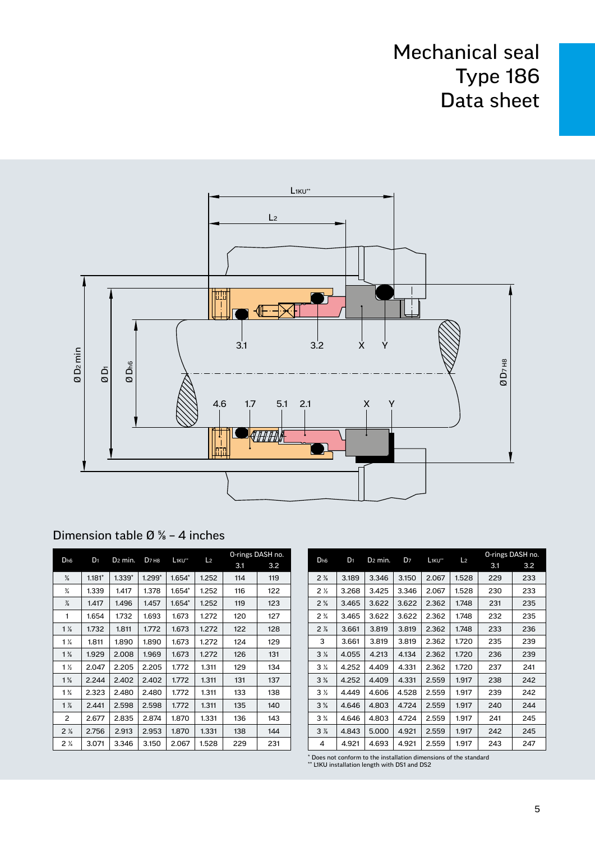

| Dimension table $\varnothing$ % - 4 inches |  |  |
|--------------------------------------------|--|--|
|--------------------------------------------|--|--|

| D <sub>h6</sub> | $D_1$    | D <sub>2</sub> min. | D <sub>7</sub> H <sub>8</sub> | L <sub>1KU**</sub> | L <sub>2</sub> | O-rings DASH no. |     |
|-----------------|----------|---------------------|-------------------------------|--------------------|----------------|------------------|-----|
|                 |          |                     |                               |                    |                | 3.1              | 3.2 |
| $\frac{5}{8}$   | $1.181*$ | $1.339*$            | $1.299*$                      | $1.654*$           | 1.252          | 114              | 119 |
| $\frac{3}{4}$   | 1.339    | 1.417               | 1.378                         | $1.654*$           | 1.252          | 116              | 122 |
| $\frac{7}{8}$   | 1.417    | 1.496               | 1.457                         | $1.654*$           | 1.252          | 119              | 123 |
| 1               | 1.654    | 1.732               | 1.693                         | 1.673              | 1.272          | 120              | 127 |
| $1\frac{1}{8}$  | 1.732    | 1.811               | 1.772                         | 1.673              | 1.272          | 122              | 128 |
| $1\frac{1}{4}$  | 1.811    | 1.890               | 1.890                         | 1.673              | 1.272          | 124              | 129 |
| $1\frac{3}{8}$  | 1.929    | 2.008               | 1.969                         | 1.673              | 1.272          | 126              | 131 |
| $1\frac{1}{2}$  | 2.047    | 2.205               | 2.205                         | 1.772              | 1.311          | 129              | 134 |
| $1\frac{5}{8}$  | 2.244    | 2.402               | 2.402                         | 1.772              | 1.311          | 131              | 137 |
| $1\frac{3}{4}$  | 2.323    | 2.480               | 2.480                         | 1.772              | 1.311          | 133              | 138 |
| $1\frac{7}{8}$  | 2.441    | 2.598               | 2.598                         | 1.772              | 1.311          | 135              | 140 |
| 2               | 2.677    | 2.835               | 2.874                         | 1.870              | 1.331          | 136              | 143 |
| 2 <sub>8</sub>  | 2.756    | 2.913               | 2.953                         | 1.870              | 1.331          | 138              | 144 |
| $2\frac{1}{4}$  | 3.071    | 3.346               | 3.150                         | 2.067              | 1.528          | 229              | 231 |

|                 |                |                     |                |                    |                | O-rings DASH no. |     |
|-----------------|----------------|---------------------|----------------|--------------------|----------------|------------------|-----|
| D <sub>h6</sub> | D <sub>1</sub> | D <sub>2</sub> min. | D <sub>7</sub> | L <sub>1KU**</sub> | L <sub>2</sub> | 3.1              | 3.2 |
| $2\frac{3}{8}$  | 3.189          | 3.346               | 3.150          | 2.067              | 1.528          | 229              | 233 |
| 2 <sub>2</sub>  | 3.268          | 3.425               | 3.346          | 2.067              | 1.528          | 230              | 233 |
| $2\frac{5}{6}$  | 3.465          | 3.622               | 3.622          | 2.362              | 1.748          | 231              | 235 |
| $2\frac{3}{4}$  | 3.465          | 3.622               | 3.622          | 2.362              | 1.748          | 232              | 235 |
| $2\frac{7}{8}$  | 3.661          | 3.819               | 3.819          | 2.362              | 1.748          | 233              | 236 |
| 3               | 3.661          | 3.819               | 3.819          | 2.362              | 1.720          | 235              | 239 |
| 3 <sub>8</sub>  | 4.055          | 4.213               | 4.134          | 2.362              | 1.720          | 236              | 239 |
| $3\frac{1}{4}$  | 4.252          | 4.409               | 4.331          | 2.362              | 1.720          | 237              | 241 |
| 3%              | 4.252          | 4.409               | 4.331          | 2.559              | 1.917          | 238              | 242 |
| 3 <sub>2</sub>  | 4.449          | 4.606               | 4.528          | 2.559              | 1.917          | 239              | 242 |
| 3%              | 4.646          | 4.803               | 4.724          | 2.559              | 1.917          | 240              | 244 |
| $3\frac{3}{4}$  | 4.646          | 4.803               | 4.724          | 2.559              | 1.917          | 241              | 245 |
| 3 <sub>%</sub>  | 4.843          | 5.000               | 4.921          | 2.559              | 1.917          | 242              | 245 |
| 4               | 4.921          | 4.693               | 4.921          | 2.559              | 1.917          | 243              | 247 |

\* Does not conform to the installation dimensions of the standard \*\* L1KU installation length with DS1 and DS2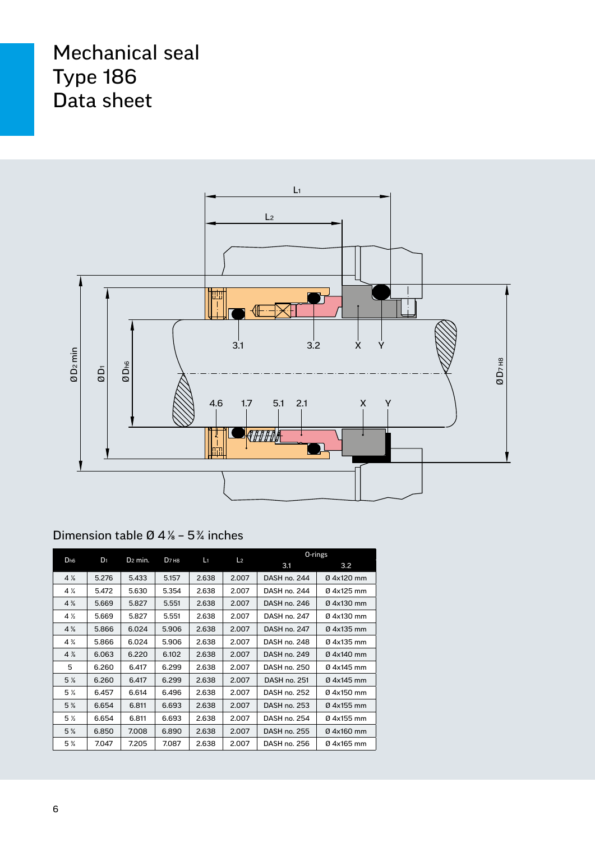

#### Dimension table Ø 4⅛ – 5¾ inches

| D <sub>h6</sub>               | D <sub>1</sub> | D <sub>2</sub> min. | D <sub>7</sub> H <sub>8</sub> | L1    | L <sub>2</sub> |              | $0$ -rings |
|-------------------------------|----------------|---------------------|-------------------------------|-------|----------------|--------------|------------|
|                               |                |                     |                               |       |                | 3.1          | 3.2        |
| $4\%$                         | 5.276          | 5.433               | 5.157                         | 2.638 | 2.007          | DASH no. 244 | 04x120 mm  |
| $4\frac{1}{4}$                | 5.472          | 5.630               | 5.354                         | 2.638 | 2.007          | DASH no. 244 | 04x125 mm  |
| $4\frac{3}{8}$                | 5.669          | 5.827               | 5.551                         | 2.638 | 2.007          | DASH no. 246 | 04x130 mm  |
| $4\frac{1}{2}$                | 5.669          | 5.827               | 5.551                         | 2.638 | 2.007          | DASH no. 247 | 04x130 mm  |
| $4\frac{5}{8}$                | 5.866          | 6.024               | 5.906                         | 2.638 | 2.007          | DASH no. 247 | 04x135 mm  |
| $4\frac{3}{4}$                | 5.866          | 6.024               | 5.906                         | 2.638 | 2.007          | DASH no. 248 | 04x135 mm  |
| $4\%$                         | 6.063          | 6.220               | 6.102                         | 2.638 | 2.007          | DASH no. 249 | 04x140 mm  |
| 5                             | 6.260          | 6.417               | 6.299                         | 2.638 | 2.007          | DASH no. 250 | 04x145 mm  |
| 5 <sub>8</sub>                | 6.260          | 6.417               | 6.299                         | 2.638 | 2.007          | DASH no. 251 | 04x145 mm  |
| 5 <sub>4</sub>                | 6.457          | 6.614               | 6.496                         | 2.638 | 2.007          | DASH no. 252 | 04x150 mm  |
| 5%                            | 6.654          | 6.811               | 6.693                         | 2.638 | 2.007          | DASH no. 253 | 04x155 mm  |
| 5 <sub>2</sub>                | 6.654          | 6.811               | 6.693                         | 2.638 | 2.007          | DASH no. 254 | 04x155 mm  |
| 5%                            | 6.850          | 7.008               | 6.890                         | 2.638 | 2.007          | DASH no. 255 | 04x160 mm  |
| 5 <sup>3</sup> / <sub>4</sub> | 7.047          | 7.205               | 7.087                         | 2.638 | 2.007          | DASH no. 256 | 04x165 mm  |